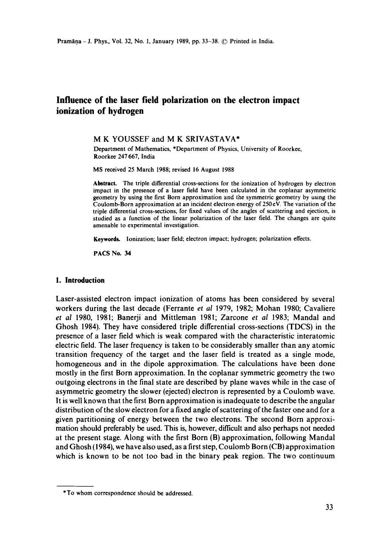# **Influence of the laser field polarization on the electron impact ionization of hydrogen**

# M K YOUSSEF and M K SRIVASTAVA\*

Department of Mathematics, \*Department of Physics, University of Roorkee, Roorkee 247 667, India

MS received 25 March 1988; revised 16 August 1988

**Abstract.** The triple differential cross-sections for the ionization of hydrogen by electron impact in the presence of a laser field have been calculated in the coplanar asymmetric geometry by using the first Born approximation and the symmetric geometry by using the Coulomb-Born approximation at an incident electron energy of 250 eV. The variation of the triple differential cross-sections, for fixed values of the angles of scattering and ejection, is studied as a function of the linear polarization of the laser field. The changes are quite amenable to experimental investigation.

Keywords, Ionization; laser field; electron impact; hydrogen; polarization effects.

PACS No. 34

#### **1. Introduction**

Laser-assisted electron impact ionization of atoms has been considered by several workers during the last decade (Ferrante *et al* 1979, 1982; Mohan 1980; Cavaliere *et al* 1980, 1981; Banerji and Mittleman 1981; Zarcone *et al* 1983; Mandal and Ghosh 1984). They have considered triple differential cross-sections (TDCS) in the presence of a laser field which is weak compared with the characteristic interatomic electric field. The laser frequency is taken to be considerably smaller than any atomic transition frequency of the target and the laser field is treated as a single mode, homogeneous and in the dipole approximation. The calculations have been done mostly in the first Born approximation. In the coplanar symmetric geometry the two outgoing electrons in the final state are described by plane waves while in the case of asymmetric geometry the slower (ejected) electron is represented by a Coulomb wave. It is well known that the first Born approximation is inadequate to describe the angular distribution of the slow electron for a fixed angle of scattering of the faster one and for a given partitioning of energy between the two electrons. The second Born approximation should preferably be used. This is, however, difficult and also perhaps not needed at the present stage. Along with the first Born (B) approximation, following Mandal and Ghosh (1984), we have also used, as a first step, Coulomb Born (CB) approximation which is known to be not too bad in the binary peak region. The two continuum

<sup>\*</sup>To whom correspondence should be addressed.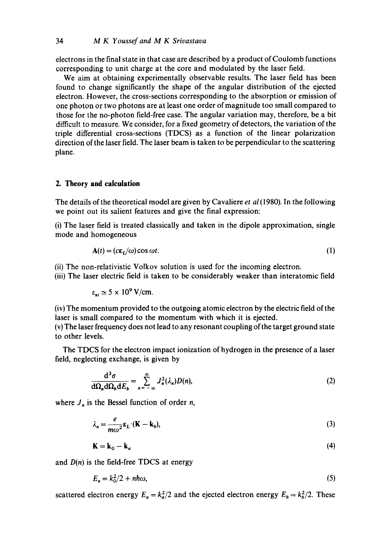electrons in the final state in that case are described by a product of Coulomb functions corresponding to unit charge at the core and modulated by the laser field.

We aim at obtaining experimentally observable results. The laser field has been found to change significantly the shape of the angular distribution of the ejected electron. However, the cross-sections corresponding to the absorption or emission of one photon or two photons are at least one order of magnitude too small compared to those for the no-photon field-free case. The angular variation may, therefore, be a bit difficult to measure. We consider, for a fixed geometry of detectors, the variation of the triple differential cross-sections (TDCS) as a function of the linear polarization direction of the laser field. The laser beam is taken to be perpendicular to the scattering plane.

# **2. Theory and calculation**

The details of the theoretical model are given by Cavaliere *et al* (1980). In the following we point out its salient features and give the final expression:

(i) The laser field is treated classically and taken in the dipole approximation, single mode and homogeneous

$$
\mathbf{A}(t) = (c\mathbf{\varepsilon}_L/\omega)\cos \omega t. \tag{1}
$$

(ii) The non-relativistic Volkov solution is used for the incoming electron.

(iii) The laser electric field is taken to be considerably weaker than interatomic field

$$
\varepsilon_{\rm at} \simeq 5 \times 10^9 \,\mathrm{V/cm}.
$$

(iv) The momentum provided to the outgoing atomic electron by the electric field of the laser is small compared to the momentum with which it is ejected.

(v) The laser frequency does not lead to any resonant coupling of the target ground state to other levels.

The TDCS for the electron impact ionization of hydrogen in the presence of a laser field, neglecting exchange, is given by

$$
\frac{\mathrm{d}^3 \sigma}{\mathrm{d}\Omega_a \mathrm{d}\Omega_b \mathrm{d}E_b} = \sum_{n=-\infty}^{\infty} J_n^2(\lambda_n) D(n),\tag{2}
$$

where  $J_n$  is the Bessel function of order *n*,

$$
\lambda_n = \frac{e}{m\omega^2} \varepsilon_L \cdot (\mathbf{K} - \mathbf{k}_b),\tag{3}
$$

$$
\mathbf{K} = \mathbf{k}_0 - \mathbf{k}_a \tag{4}
$$

and  $D(n)$  is the field-free TDCS at energy

$$
E_n = k_0^2/2 + nh\omega,\tag{5}
$$

scattered electron energy  $E_a = k_a^2/2$  and the ejected electron energy  $E_b = k_b^2/2$ . These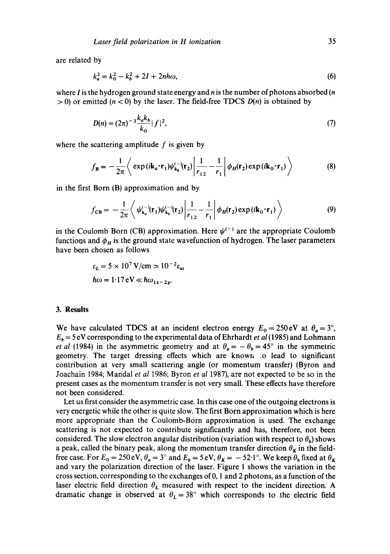are related by

$$
k_a^2 = k_0^2 - k_b^2 + 2I + 2nh\omega,\tag{6}
$$

where I is the hydrogen ground state energy and  $n$  is the number of photons absorbed  $(n)$  $> 0$ ) or emitted ( $n < 0$ ) by the laser. The field-free TDCS  $D(n)$  is obtained by

$$
D(n) = (2\pi)^{-3} \frac{k_a k_b}{k_0} |f|^2,
$$
 (7)

where the scattering amplitude  $f$  is given by

$$
f_{\mathbf{B}} = -\frac{1}{2\pi} \left\langle \exp\left(i\mathbf{k}_a \cdot \mathbf{r}_1\right) \psi_{\mathbf{k}_b}^{(-)}(\mathbf{r}_2) \middle| \frac{1}{r_{12}} - \frac{1}{r_1} \middle| \phi_H(\mathbf{r}_2) \exp\left(i\mathbf{k}_0 \cdot \mathbf{r}_1\right) \right\rangle \tag{8}
$$

in the first Born (B) approximation and by

$$
f_{\text{CB}} = -\frac{1}{2\pi} \left\langle \psi_{\mathbf{k}_a}^{(-)}(\mathbf{r}_1)\psi_{\mathbf{k}_b}^{(-)}(\mathbf{r}_2) \middle| \frac{1}{r_{12}} - \frac{1}{r_1} \middle| \phi_H(\mathbf{r}_2) \exp(i\mathbf{k}_0 \cdot \mathbf{r}_1) \right\rangle \tag{9}
$$

in the Coulomb Born (CB) approximation. Here  $\psi^{(-)}$  are the appropriate Coulomb functions and  $\phi_H$  is the ground state wavefunction of hydrogen. The laser parameters have been chosen as follows

$$
\varepsilon_L = 5 \times 10^7 \, \text{V/cm} \simeq 10^{-2} \varepsilon_{\text{at}}
$$
\n
$$
\hbar \omega = 1.17 \, \text{eV} \ll \hbar \omega_{1s - 2p}.
$$

# **3. Results**

We have calculated TDCS at an incident electron energy  $E_0 = 250 \text{ eV}$  at  $\theta_a = 3^\circ$ ,  $E_b$  = 5 eV corresponding to the experimental data of Ehrhardt *et al* (1985) and Lohmann *et al* (1984) in the asymmetric geometry and at  $\theta_a = -\theta_b = 45^\circ$  in the symmetric geometry. The target dressing effects which are known .o lead to significant contribution at very small scattering angle (or momentum transfer) (Byron and Joachain 1984; Mandal *et al* 1986; Byron *et al* 1987), are not expected to be so in the present cases as the momentum transfer is not very small. These effects have therefore not been considered.

Let us first consider the asymmetric case. In this case one of the outgoing electrons is very energetic while the other is quite slow. The first Born approximation which is here more appropriate than the Coulomb-Born approximation is used. The exchange scattering is not expected to contribute significantly and has, therefore, not been considered. The slow electron angular distribution (variation with respect to  $\theta_b$ ) shows a peak, called the binary peak, along the momentum transfer direction  $\theta_K$  in the fieldfree case. For  $E_0 = 250 \text{ eV}$ ,  $\theta_a = 3^\circ$  and  $E_b = 5 \text{ eV}$ ,  $\theta_K = -52.1^\circ$ . We keep  $\theta_b$  fixed at  $\theta_K$ and vary the polarization direction of the laser. Figure 1 shows the variation in the cross section, corresponding to the exchanges of 0, 1 and 2 photons, as a function of the laser electric field direction  $\theta_L$  measured with respect to the incident direction. A dramatic change is observed at  $\theta_L = 38^\circ$  which corresponds to the electric field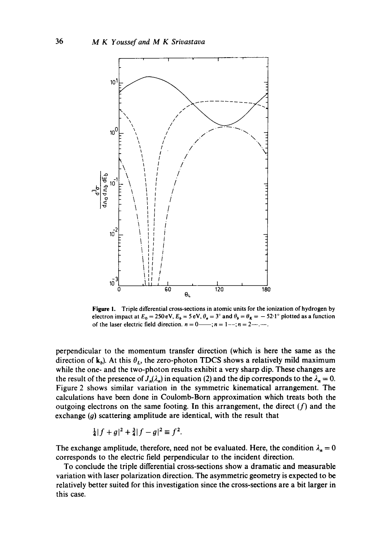

**Figure** I. Triple differential cross-sections in atomic units for the ionization of hydrogen by electron impact at  $E_0 = 250 \text{ eV}$ ,  $E_b = 5 \text{ eV}$ ,  $\theta_a = 3^\circ$  and  $\theta_b = \theta_K = -52.1^\circ$  plotted as a function of the laser electric field direction,  $n = 0$ ,  $n = 1 - \frac{1}{n} = 2 - \cdots$ .

perpendicular to the momentum transfer direction (which is here the same as the direction of  $k_b$ ). At this  $\theta_L$ , the zero-photon TDCS shows a relatively mild maximum while the one- and the two-photon results exhibit a very sharp dip. These changes are the result of the presence of  $J_n(\lambda_n)$  in equation (2) and the dip corresponds to the  $\lambda_n = 0$ . Figure 2 shows similar variation in the symmetric kinematical arrangement. The calculations have been done in Coulomb-Born approximation which treats both the outgoing electrons on the same footing. In this arrangement, the direct  $(f)$  and the exchange  $(g)$  scattering amplitude are identical, with the result that

$$
\frac{1}{4}|f+g|^2+\frac{3}{4}|f-g|^2 \equiv f^2.
$$

The exchange amplitude, therefore, need not be evaluated. Here, the condition  $\lambda_n = 0$ **corresponds to the electric field perpendicular to the incident direction.** 

**To conclude the triple differential cross-sections show a dramatic and measurable variation with laser polarization direction. The asymmetric geometry is expected to be relatively better suited for this investigation since the cross-sections are a bit larger in this case.**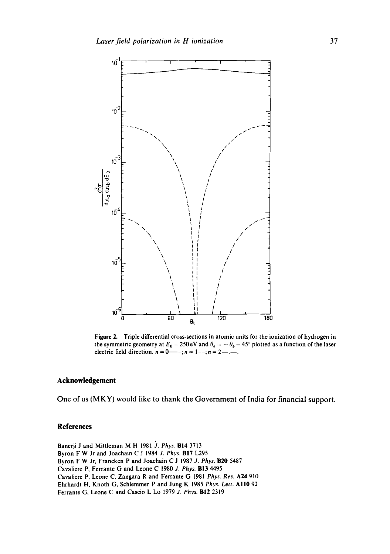

Figure 2. Triple differential cross-sections in atomic units for the ionization of hydrogen in the symmetric geometry at  $E_0 = 250 \text{ eV}$  and  $\theta_a = -\theta_b = 45^\circ$  plotted as a function of the laser electric field direction.  $n = 0$ —-;  $n = 1 -$ ;  $n = 2 -$ .

## **Acknowledgement**

**One of us (MKY) would like to thank the Government of India for financial support.** 

### **References**

Banerji J and Mittleman M H 1981 J. Phys. **B14** 3713 Byron F W Jr and Joachain C J 1984 *J. Phys.* BI7 L295 Byron F W Jr, Francken P and Joachain C J 1987 *J. Phys.* B20 5487 Cavaliere P, Ferrante G and Leone C 1980 *2. Phys.* BI3 4495 Cavaliere P, Leone C, Zangara R and Ferrante G 1981 Phys. Rev. A24 910 Ehrhardt H, Knoth G, Schlemmer P and Jung K 1985 *Phys. Lett.* All0 92 Ferrante G, Leone C and Cascio L Lo 1979 *d. Phys.* B12 2319